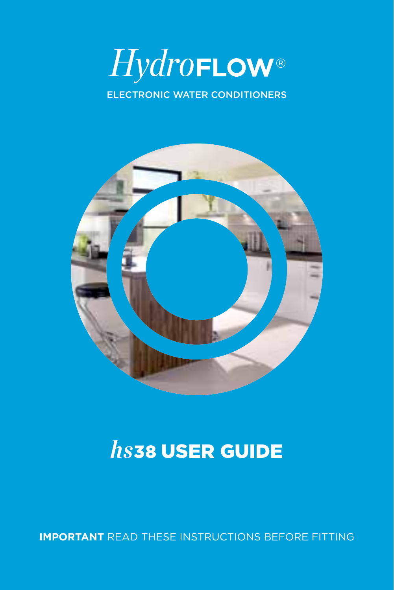# HydroFLOW® ELECTRONIC WATER CONDITIONERS



## $hs$ 38 USER GUIDE

**IMPORTANT** READ THESE INSTRUCTIONS BEFORE FITTING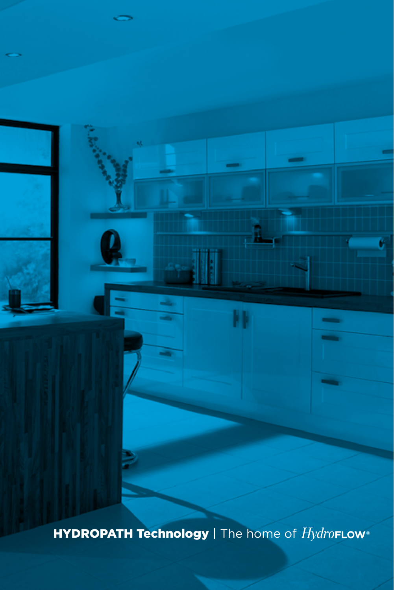**HYDROPATH Technology** | The home of *HydroFLOW* 

٠

W

Ù

-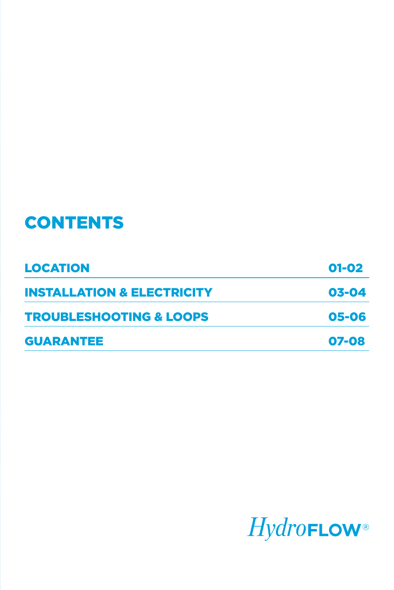#### **CONTENTS**

| <b>LOCATION</b>                       | $01 - 02$ |
|---------------------------------------|-----------|
| <b>INSTALLATION &amp; ELECTRICITY</b> | 03-04     |
| <b>TROUBLESHOOTING &amp; LOOPS</b>    | 05-06     |
| <b>GUARANTEE</b>                      | 07-08     |

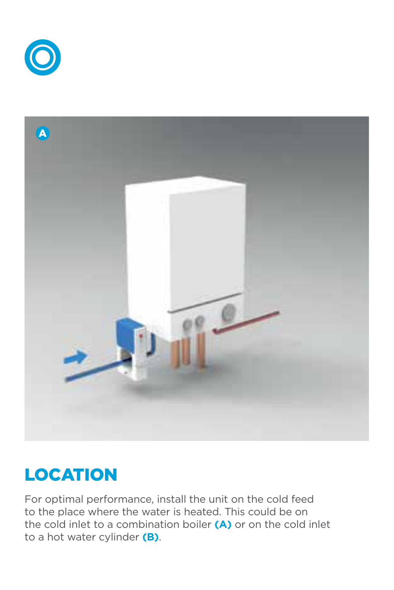



### LOCATION

For optimal performance, install the unit on the cold feed to the place where the water is heated. This could be on the cold inlet to a combination boiler **(A)** or on the cold inlet to a hot water cylinder **(B)**.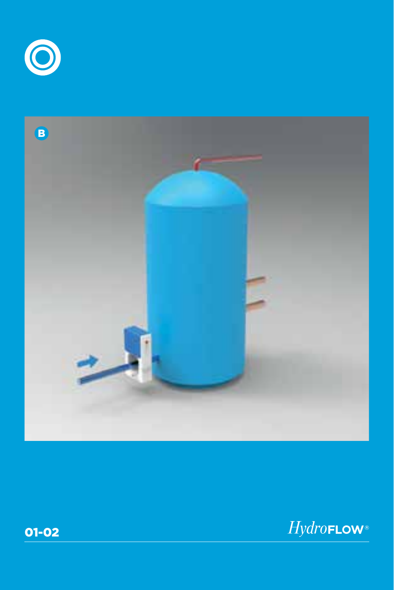





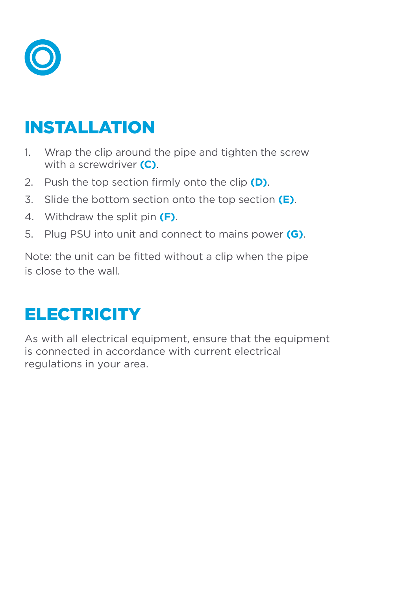

#### INSTALLATION

- 1. Wrap the clip around the pipe and tighten the screw with a screwdriver **(C)**.
- 2. Push the top section firmly onto the clip **(D)**.
- 3. Slide the bottom section onto the top section **(E)**.
- 4. Withdraw the split pin **(F)**.
- 5. Plug PSU into unit and connect to mains power **(G)**.

Note: the unit can be fitted without a clip when the pipe is close to the wall.

#### **ELECTRICITY**

As with all electrical equipment, ensure that the equipment is connected in accordance with current electrical regulations in your area.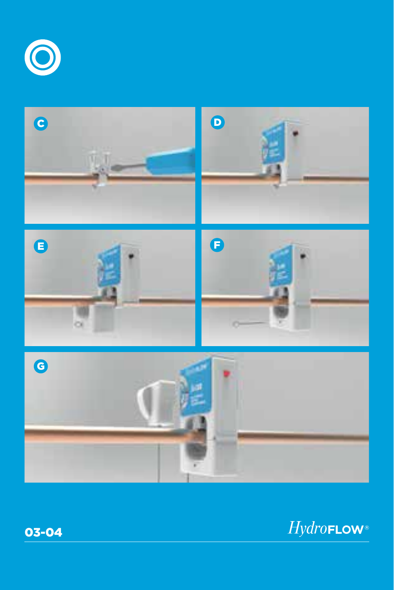





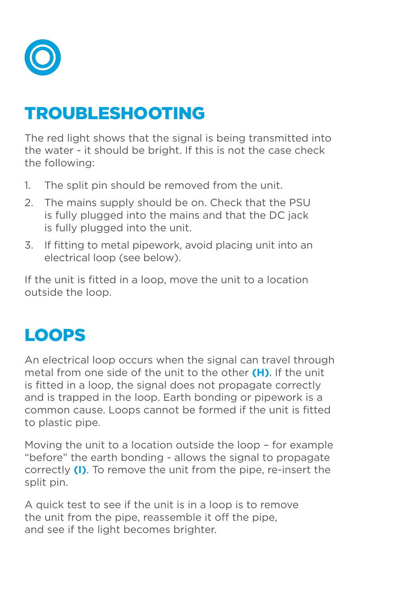

#### TROUBLESHOOTING

The red light shows that the signal is being transmitted into the water - it should be bright. If this is not the case check the following:

- 1. The split pin should be removed from the unit.
- 2. The mains supply should be on. Check that the PSU is fully plugged into the mains and that the DC jack is fully plugged into the unit.
- 3. If fitting to metal pipework, avoid placing unit into an electrical loop (see below).

If the unit is fitted in a loop, move the unit to a location outside the loop.

#### LOOPS

An electrical loop occurs when the signal can travel through metal from one side of the unit to the other **(H)**. If the unit is fitted in a loop, the signal does not propagate correctly and is trapped in the loop. Earth bonding or pipework is a common cause. Loops cannot be formed if the unit is fitted to plastic pipe.

Moving the unit to a location outside the loop – for example "before" the earth bonding - allows the signal to propagate correctly **(I)**. To remove the unit from the pipe, re-insert the split pin.

A quick test to see if the unit is in a loop is to remove the unit from the pipe, reassemble it off the pipe, and see if the light becomes brighter.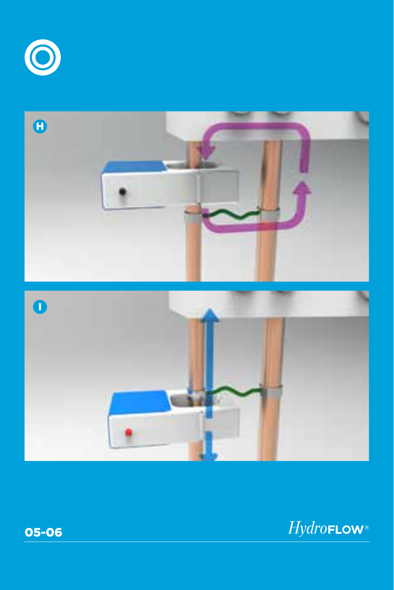





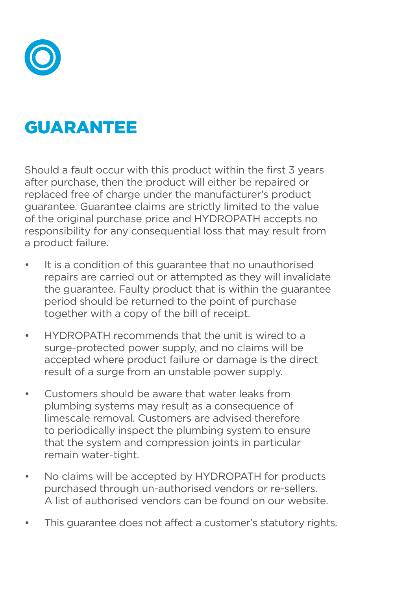

#### GUARANTEE

Should a fault occur with this product within the first 3 years after purchase, then the product will either be repaired or replaced free of charge under the manufacturer's product guarantee. Guarantee claims are strictly limited to the value of the original purchase price and HYDROPATH accepts no responsibility for any consequential loss that may result from a product failure.

- It is a condition of this guarantee that no unauthorised repairs are carried out or attempted as they will invalidate the guarantee. Faulty product that is within the guarantee period should be returned to the point of purchase together with a copy of the bill of receipt.
- HYDROPATH recommends that the unit is wired to a surge-protected power supply, and no claims will be accepted where product failure or damage is the direct result of a surge from an unstable power supply.
- Customers should be aware that water leaks from plumbing systems may result as a consequence of limescale removal. Customers are advised therefore to periodically inspect the plumbing system to ensure that the system and compression joints in particular remain water-tight.
- No claims will be accepted by HYDROPATH for products purchased through un-authorised vendors or re-sellers. A list of authorised vendors can be found on our website.
- This quarantee does not affect a customer's statutory rights.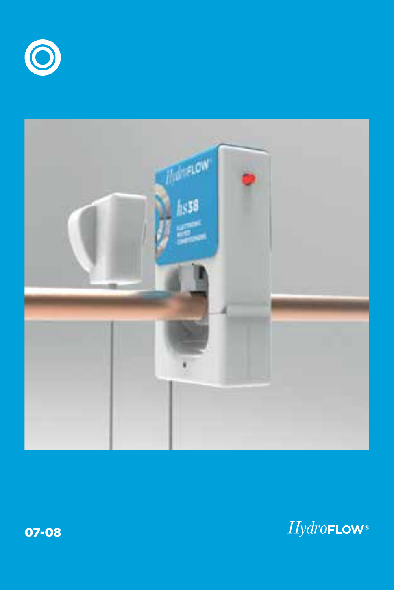